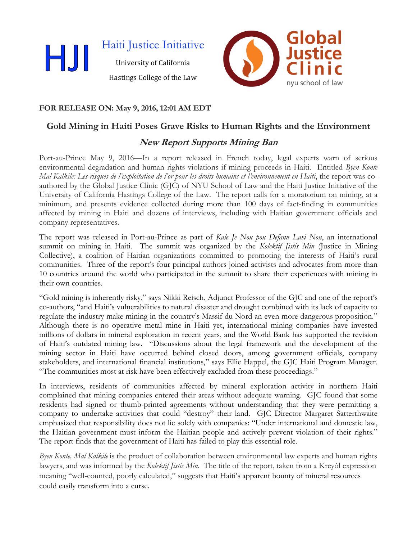# Haiti Justice Initiative HJI University of California Hastings College of the Law



### **FOR RELEASE ON: May 9, 2016, 12:01 AM EDT**

# **Gold Mining in Haiti Poses Grave Risks to Human Rights and the Environment**

# **New Report Supports Mining Ban**

Port-au-Prince May 9, 2016—In a report released in French today, legal experts warn of serious environmental degradation and human rights violations if mining proceeds in Haiti. Entitled *Byen Konte Mal Kalkile: Les risques de l'exploitation de l'or pour les droits humains et l'environnement en Haiti*, the report was coauthored by the Global Justice Clinic (GJC) of NYU School of Law and the Haiti Justice Initiative of the University of California Hastings College of the Law. The report calls for a moratorium on mining, at a minimum, and presents evidence collected during more than 100 days of fact-finding in communities affected by mining in Haiti and dozens of interviews, including with Haitian government officials and company representatives.

The report was released in Port-au-Prince as part of *Kale Je Nou pou Defann Lavi Nou*, an international summit on mining in Haiti. The summit was organized by the *Kolektif Jistis Min* (Justice in Mining Collective), a coalition of Haitian organizations committed to promoting the interests of Haiti's rural communities. Three of the report's four principal authors joined activists and advocates from more than 10 countries around the world who participated in the summit to share their experiences with mining in their own countries.

"Gold mining is inherently risky," says Nikki Reisch, Adjunct Professor of the GJC and one of the report's co-authors, "and Haiti's vulnerabilities to natural disaster and drought combined with its lack of capacity to regulate the industry make mining in the country's Massif du Nord an even more dangerous proposition." Although there is no operative metal mine in Haiti yet, international mining companies have invested millions of dollars in mineral exploration in recent years, and the World Bank has supported the revision of Haiti's outdated mining law. "Discussions about the legal framework and the development of the mining sector in Haiti have occurred behind closed doors, among government officials, company stakeholders, and international financial institutions," says Ellie Happel, the GJC Haiti Program Manager. "The communities most at risk have been effectively excluded from these proceedings."

In interviews, residents of communities affected by mineral exploration activity in northern Haiti complained that mining companies entered their areas without adequate warning. GJC found that some residents had signed or thumb-printed agreements without understanding that they were permitting a company to undertake activities that could "destroy" their land. GJC Director Margaret Satterthwaite emphasized that responsibility does not lie solely with companies: "Under international and domestic law, the Haitian government must inform the Haitian people and actively prevent violation of their rights." The report finds that the government of Haiti has failed to play this essential role.

*Byen Konte, Mal Kalkile* is the product of collaboration between environmental law experts and human rights lawyers, and was informed by the *Kolektif Jistis Min*. The title of the report, taken from a Kreyòl expression meaning "well-counted, poorly calculated," suggests that Haiti's apparent bounty of mineral resources could easily transform into a curse.